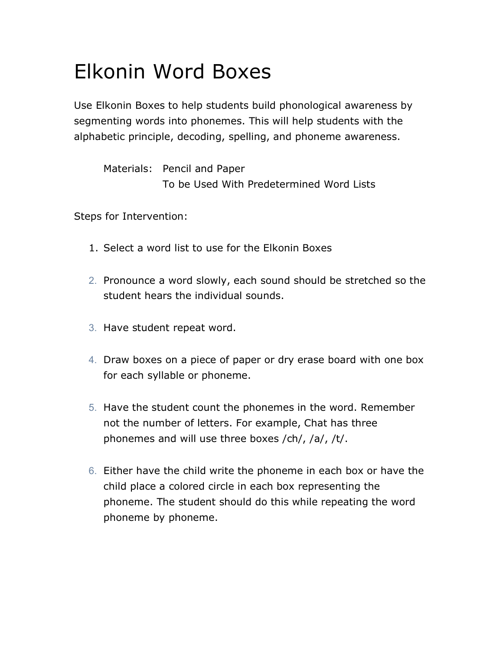## Elkonin Word Boxes

Use Elkonin Boxes to help students build phonological awareness by segmenting words into phonemes. This will help students with the alphabetic principle, decoding, spelling, and phoneme awareness.

Materials: Pencil and Paper To be Used With Predetermined Word Lists

Steps for Intervention:

- 1. Select a word list to use for the Elkonin Boxes
- 2. Pronounce a word slowly, each sound should be stretched so the student hears the individual sounds.
- 3. Have student repeat word.
- 4. Draw boxes on a piece of paper or dry erase board with one box for each syllable or phoneme.
- 5. Have the student count the phonemes in the word. Remember not the number of letters. For example, Chat has three phonemes and will use three boxes /ch/, /a/, /t/.
- 6. Either have the child write the phoneme in each box or have the child place a colored circle in each box representing the phoneme. The student should do this while repeating the word phoneme by phoneme.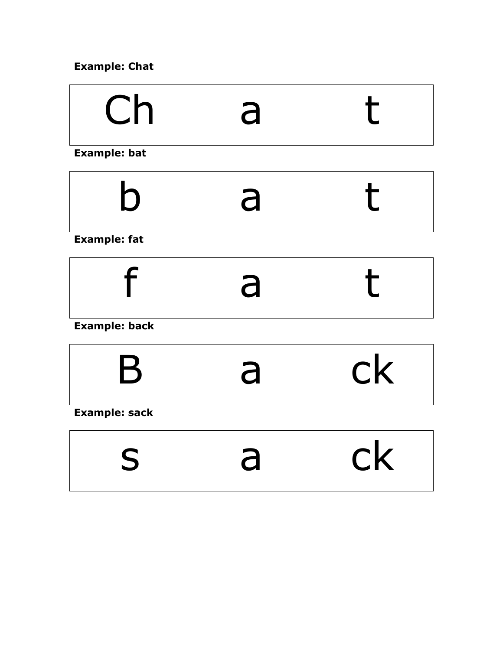## **Example: Chat**

| $\bigcap$<br>L<br>$\overline{\mathsf{C}}$ |  |  |
|-------------------------------------------|--|--|
|-------------------------------------------|--|--|

**Example: bat**

| $\boldsymbol{\omega}$ | d |  |
|-----------------------|---|--|
|-----------------------|---|--|

**Example: fat**

|--|--|

**Example: back**

| $\mathbf Q$ | $\mathsf{rk}$<br>U I N |
|-------------|------------------------|
|             |                        |

**Example: sack**

| $\blacktriangleright$ | $\mathsf{r}\mathsf{k}$<br>$\sim$ 1 $\sim$ |
|-----------------------|-------------------------------------------|
|                       |                                           |